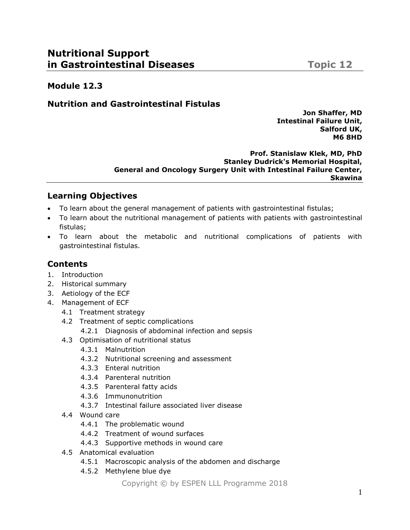## **Module 12.3**

## **Nutrition and Gastrointestinal Fistulas**

**Jon Shaffer, MD Intestinal Failure Unit, Salford UK, M6 8HD**

**Prof. Stanislaw Klek, MD, PhD Stanley Dudrick's Memorial Hospital, General and Oncology Surgery Unit with Intestinal Failure Center, Skawina**

# **Learning Objectives**

- To learn about the general management of patients with gastrointestinal fistulas;
- To learn about the nutritional management of patients with patients with gastrointestinal fistulas;
- To learn about the metabolic and nutritional complications of patients with gastrointestinal fistulas.

# **Contents**

- 1. Introduction
- 2. Historical summary
- 3. Aetiology of the ECF
- 4. Management of ECF
	- 4.1 Treatment strategy
	- 4.2 Treatment of septic complications
		- 4.2.1 Diagnosis of abdominal infection and sepsis
	- 4.3 Optimisation of nutritional status
		- 4.3.1 Malnutrition
		- 4.3.2 Nutritional screening and assessment
		- 4.3.3 Enteral nutrition
		- 4.3.4 Parenteral nutrition
		- 4.3.5 Parenteral fatty acids
		- 4.3.6 Immunonutrition
		- 4.3.7 Intestinal failure associated liver disease
	- 4.4 Wound care
		- 4.4.1 The problematic wound
		- 4.4.2 Treatment of wound surfaces
		- 4.4.3 Supportive methods in wound care
	- 4.5 Anatomical evaluation
		- 4.5.1 Macroscopic analysis of the abdomen and discharge
		- 4.5.2 Methylene blue dye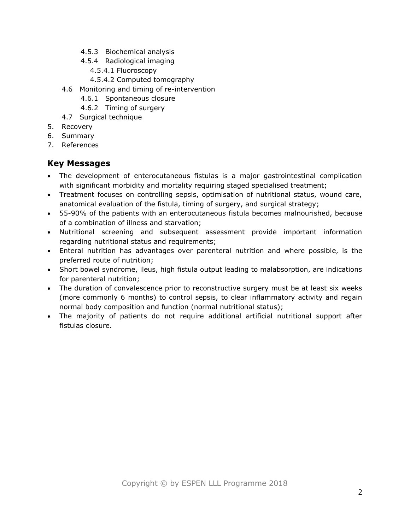- 4.5.3 Biochemical analysis
- 4.5.4 Radiological imaging
	- 4.5.4.1 Fluoroscopy
	- 4.5.4.2 Computed tomography
- 4.6 Monitoring and timing of re-intervention
	- 4.6.1 Spontaneous closure
	- 4.6.2 Timing of surgery
- 4.7 Surgical technique
- 5. Recovery
- 6. Summary
- 7. References

# **Key Messages**

- The development of enterocutaneous fistulas is a major gastrointestinal complication with significant morbidity and mortality requiring staged specialised treatment;
- Treatment focuses on controlling sepsis, optimisation of nutritional status, wound care, anatomical evaluation of the fistula, timing of surgery, and surgical strategy;
- 55-90% of the patients with an enterocutaneous fistula becomes malnourished, because of a combination of illness and starvation;
- Nutritional screening and subsequent assessment provide important information regarding nutritional status and requirements;
- Enteral nutrition has advantages over parenteral nutrition and where possible, is the preferred route of nutrition;
- Short bowel syndrome, ileus, high fistula output leading to malabsorption, are indications for parenteral nutrition;
- The duration of convalescence prior to reconstructive surgery must be at least six weeks (more commonly 6 months) to control sepsis, to clear inflammatory activity and regain normal body composition and function (normal nutritional status);
- The majority of patients do not require additional artificial nutritional support after fistulas closure.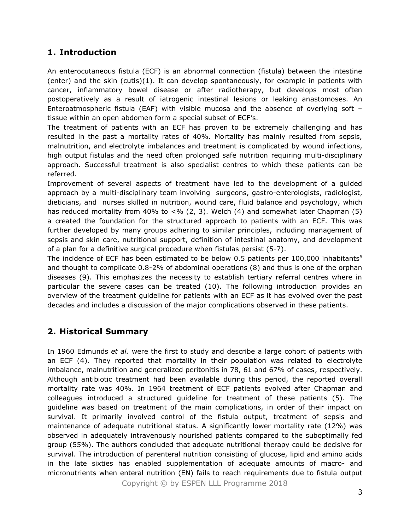# **1. Introduction**

An enterocutaneous fistula (ECF) is an abnormal connection (fistula) between the intestine (enter) and the skin (cutis) $(1)$ . It can develop spontaneously, for example in patients with cancer, inflammatory bowel disease or after radiotherapy, but develops most often postoperatively as a result of iatrogenic intestinal lesions or leaking anastomoses. An Enteroatmospheric fistula (EAF) with visible mucosa and the absence of overlying soft – tissue within an open abdomen form a special subset of ECF's.

The treatment of patients with an ECF has proven to be extremely challenging and has resulted in the past a mortality rates of 40%. Mortality has mainly resulted from sepsis, malnutrition, and electrolyte imbalances and treatment is complicated by wound infections, high output fistulas and the need often prolonged safe nutrition requiring multi-disciplinary approach. Successful treatment is also specialist centres to which these patients can be referred.

Improvement of several aspects of treatment have led to the development of a guided approach by a multi-disciplinary team involving surgeons, gastro-enterologists, radiologist, dieticians, and nurses skilled in nutrition, wound care, fluid balance and psychology, which has reduced mortality from 40% to  $\lt$ % (2, 3). Welch (4) and somewhat later Chapman (5) a created the foundation for the structured approach to patients with an ECF. This was further developed by many groups adhering to similar principles, including management of sepsis and skin care, nutritional support, definition of intestinal anatomy, and development of a plan for a definitive surgical procedure when fistulas persist (5-7).

The incidence of ECF has been estimated to be below 0.5 patients per 100,000 inhabitants<sup>6</sup> and thought to complicate 0.8-2% of abdominal operations (8) and thus is one of the orphan diseases (9). This emphasizes the necessity to establish tertiary referral centres where in particular the severe cases can be treated (10). The following introduction provides an overview of the treatment guideline for patients with an ECF as it has evolved over the past decades and includes a discussion of the major complications observed in these patients.

# **2. Historical Summary**

In 1960 Edmunds *et al.* were the first to study and describe a large cohort of patients with an ECF (4). They reported that mortality in their population was related to electrolyte imbalance, malnutrition and generalized peritonitis in 78, 61 and 67% of cases, respectively. Although antibiotic treatment had been available during this period, the reported overall mortality rate was 40%. In 1964 treatment of ECF patients evolved after Chapman and colleagues introduced a structured guideline for treatment of these patients (5). The guideline was based on treatment of the main complications, in order of their impact on survival. It primarily involved control of the fistula output, treatment of sepsis and maintenance of adequate nutritional status. A significantly lower mortality rate (12%) was observed in adequately intravenously nourished patients compared to the suboptimally fed group (55%). The authors concluded that adequate nutritional therapy could be decisive for survival. The introduction of parenteral nutrition consisting of glucose, lipid and amino acids in the late sixties has enabled supplementation of adequate amounts of macro- and micronutrients when enteral nutrition (EN) fails to reach requirements due to fistula output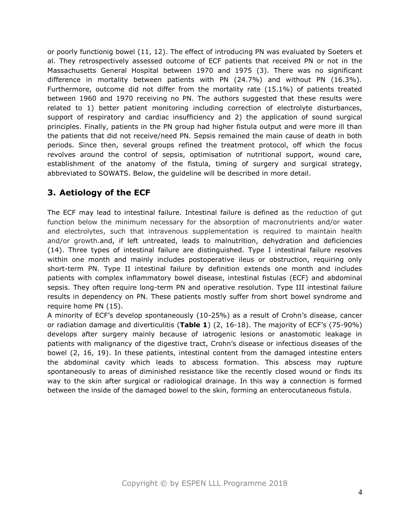or poorly functionig bowel (11, 12). The effect of introducing PN was evaluated by Soeters et al. They retrospectively assessed outcome of ECF patients that received PN or not in the Massachusetts General Hospital between 1970 and 1975 (3). There was no significant difference in mortality between patients with PN (24.7%) and without PN (16.3%). Furthermore, outcome did not differ from the mortality rate (15.1%) of patients treated between 1960 and 1970 receiving no PN. The authors suggested that these results were related to 1) better patient monitoring including correction of electrolyte disturbances, support of respiratory and cardiac insufficiency and 2) the application of sound surgical principles. Finally, patients in the PN group had higher fistula output and were more ill than the patients that did not receive/need PN. Sepsis remained the main cause of death in both periods. Since then, several groups refined the treatment protocol, off which the focus revolves around the control of sepsis, optimisation of nutritional support, wound care, establishment of the anatomy of the fistula, timing of surgery and surgical strategy, abbreviated to SOWATS. Below, the guideline will be described in more detail.

# **3. Aetiology of the ECF**

The ECF may lead to intestinal failure. Intestinal failure is defined as the reduction of gut function below the minimum necessary for the absorption of macronutrients and/or water and electrolytes, such that intravenous supplementation is required to maintain health and/or growth.and, if left untreated, leads to malnutrition, dehydration and deficiencies (14). Three types of intestinal failure are distinguished. Type I intestinal failure resolves within one month and mainly includes postoperative ileus or obstruction, requiring only short-term PN. Type II intestinal failure by definition extends one month and includes patients with complex inflammatory bowel disease, intestinal fistulas (ECF) and abdominal sepsis. They often require long-term PN and operative resolution. Type III intestinal failure results in dependency on PN. These patients mostly suffer from short bowel syndrome and require home PN (15).

A minority of ECF's develop spontaneously (10-25%) as a result of Crohn's disease, cancer or radiation damage and diverticulitis (**Table 1**) (2, 16-18). The majority of ECF's (75-90%) develops after surgery mainly because of iatrogenic lesions or anastomotic leakage in patients with malignancy of the digestive tract, Crohn's disease or infectious diseases of the bowel (2, 16, 19). In these patients, intestinal content from the damaged intestine enters the abdominal cavity which leads to abscess formation. This abscess may rupture spontaneously to areas of diminished resistance like the recently closed wound or finds its way to the skin after surgical or radiological drainage. In this way a connection is formed between the inside of the damaged bowel to the skin, forming an enterocutaneous fistula.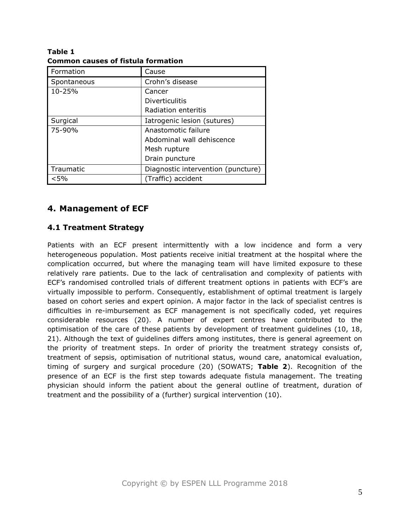| Formation   | Cause                              |
|-------------|------------------------------------|
| Spontaneous | Crohn's disease                    |
| 10-25%      | Cancer                             |
|             | <b>Diverticulitis</b>              |
|             | Radiation enteritis                |
| Surgical    | Iatrogenic lesion (sutures)        |
| 75-90%      | Anastomotic failure                |
|             | Abdominal wall dehiscence          |
|             | Mesh rupture                       |
|             | Drain puncture                     |
| Traumatic   | Diagnostic intervention (puncture) |
| < 5%        | (Traffic) accident                 |

#### **Table 1 Common causes of fistula formation**

# **4. Management of ECF**

# **4.1 Treatment Strategy**

Patients with an ECF present intermittently with a low incidence and form a very heterogeneous population. Most patients receive initial treatment at the hospital where the complication occurred, but where the managing team will have limited exposure to these relatively rare patients. Due to the lack of centralisation and complexity of patients with ECF's randomised controlled trials of different treatment options in patients with ECF's are virtually impossible to perform. Consequently, establishment of optimal treatment is largely based on cohort series and expert opinion. A major factor in the lack of specialist centres is difficulties in re-imbursement as ECF management is not specifically coded, yet requires considerable resources (20). A number of expert centres have contributed to the optimisation of the care of these patients by development of treatment guidelines (10, 18, 21). Although the text of guidelines differs among institutes, there is general agreement on the priority of treatment steps. In order of priority the treatment strategy consists of, treatment of sepsis, optimisation of nutritional status, wound care, anatomical evaluation, timing of surgery and surgical procedure (20) (SOWATS; **Table 2**). Recognition of the presence of an ECF is the first step towards adequate fistula management. The treating physician should inform the patient about the general outline of treatment, duration of treatment and the possibility of a (further) surgical intervention (10).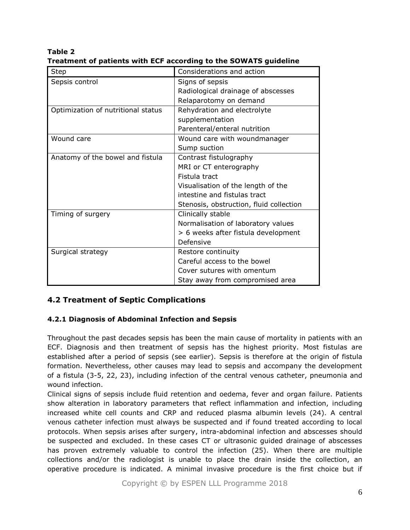**Table 2 Treatment of patients with ECF according to the SOWATS guideline**

| <b>Step</b>                        | Considerations and action               |
|------------------------------------|-----------------------------------------|
| Sepsis control                     | Signs of sepsis                         |
|                                    | Radiological drainage of abscesses      |
|                                    | Relaparotomy on demand                  |
| Optimization of nutritional status | Rehydration and electrolyte             |
|                                    | supplementation                         |
|                                    | Parenteral/enteral nutrition            |
| Wound care                         | Wound care with woundmanager            |
|                                    | Sump suction                            |
| Anatomy of the bowel and fistula   | Contrast fistulography                  |
|                                    | MRI or CT enterography                  |
|                                    | Fistula tract                           |
|                                    | Visualisation of the length of the      |
|                                    | intestine and fistulas tract            |
|                                    | Stenosis, obstruction, fluid collection |
| Timing of surgery                  | Clinically stable                       |
|                                    | Normalisation of laboratory values      |
|                                    | > 6 weeks after fistula development     |
|                                    | Defensive                               |
| Surgical strategy                  | Restore continuity                      |
|                                    | Careful access to the bowel             |
|                                    | Cover sutures with omentum              |
|                                    | Stay away from compromised area         |

# **4.2 Treatment of Septic Complications**

## **4.2.1 Diagnosis of Abdominal Infection and Sepsis**

Throughout the past decades sepsis has been the main cause of mortality in patients with an ECF. Diagnosis and then treatment of sepsis has the highest priority. Most fistulas are established after a period of sepsis (see earlier). Sepsis is therefore at the origin of fistula formation. Nevertheless, other causes may lead to sepsis and accompany the development of a fistula (3-5, 22, 23), including infection of the central venous catheter, pneumonia and wound infection.

Clinical signs of sepsis include fluid retention and oedema, fever and organ failure. Patients show alteration in laboratory parameters that reflect inflammation and infection, including increased white cell counts and CRP and reduced plasma albumin levels (24). A central venous catheter infection must always be suspected and if found treated according to local protocols. When sepsis arises after surgery, intra-abdominal infection and abscesses should be suspected and excluded. In these cases CT or ultrasonic guided drainage of abscesses has proven extremely valuable to control the infection (25). When there are multiple collections and/or the radiologist is unable to place the drain inside the collection, an operative procedure is indicated. A minimal invasive procedure is the first choice but if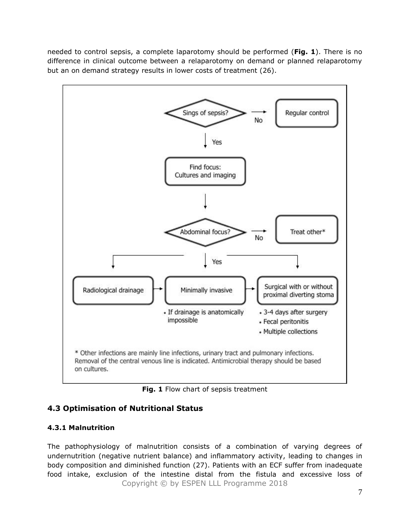needed to control sepsis, a complete laparotomy should be performed (**Fig. 1**). There is no difference in clinical outcome between a relaparotomy on demand or planned relaparotomy but an on demand strategy results in lower costs of treatment (26).



**Fig. 1** Flow chart of sepsis treatment

# **4.3 Optimisation of Nutritional Status**

## **4.3.1 Malnutrition**

Copyright © by ESPEN LLL Programme 2018 The pathophysiology of malnutrition consists of a combination of varying degrees of undernutrition (negative nutrient balance) and inflammatory activity, leading to changes in body composition and diminished function (27). Patients with an ECF suffer from inadequate food intake, exclusion of the intestine distal from the fistula and excessive loss of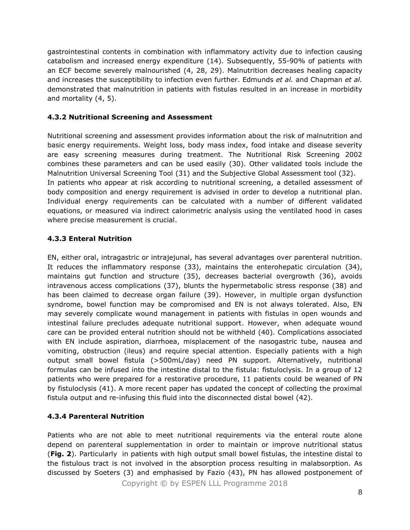gastrointestinal contents in combination with inflammatory activity due to infection causing catabolism and increased energy expenditure (14). Subsequently, 55-90% of patients with an ECF become severely malnourished (4, 28, 29). Malnutrition decreases healing capacity and increases the susceptibility to infection even further. Edmunds *et al.* and Chapman *et al.* demonstrated that malnutrition in patients with fistulas resulted in an increase in morbidity and mortality (4, 5).

#### **4.3.2 Nutritional Screening and Assessment**

Nutritional screening and assessment provides information about the risk of malnutrition and basic energy requirements. Weight loss, body mass index, food intake and disease severity are easy screening measures during treatment. The Nutritional Risk Screening 2002 combines these parameters and can be used easily (30). Other validated tools include the Malnutrition Universal Screening Tool (31) and the Subjective Global Assessment tool (32). In patients who appear at risk according to nutritional screening, a detailed assessment of body composition and energy requirement is advised in order to develop a nutritional plan. Individual energy requirements can be calculated with a number of different validated equations, or measured via indirect calorimetric analysis using the ventilated hood in cases where precise measurement is crucial.

#### **4.3.3 Enteral Nutrition**

EN, either oral, intragastric or intrajejunal, has several advantages over parenteral nutrition. It reduces the inflammatory response (33), maintains the enterohepatic circulation (34), maintains gut function and structure (35), decreases bacterial overgrowth (36), avoids intravenous access complications (37), blunts the hypermetabolic stress response (38) and has been claimed to decrease organ failure (39). However, in multiple organ dysfunction syndrome, bowel function may be compromised and EN is not always tolerated. Also, EN may severely complicate wound management in patients with fistulas in open wounds and intestinal failure precludes adequate nutritional support. However, when adequate wound care can be provided enteral nutrition should not be withheld (40). Complications associated with EN include aspiration, diarrhoea, misplacement of the nasogastric tube, nausea and vomiting, obstruction (ileus) and require special attention. Especially patients with a high output small bowel fistula (>500mL/day) need PN support. Alternatively, nutritional formulas can be infused into the intestine distal to the fistula: fistuloclysis. In a group of 12 patients who were prepared for a restorative procedure, 11 patients could be weaned of PN by fistuloclysis (41). A more recent paper has updated the concept of collecting the proximal fistula output and re-infusing this fluid into the disconnected distal bowel (42).

## **4.3.4 Parenteral Nutrition**

Patients who are not able to meet nutritional requirements via the enteral route alone depend on parenteral supplementation in order to maintain or improve nutritional status (**Fig. 2**). Particularly in patients with high output small bowel fistulas, the intestine distal to the fistulous tract is not involved in the absorption process resulting in malabsorption. As discussed by Soeters (3) and emphasised by Fazio (43), PN has allowed postponement of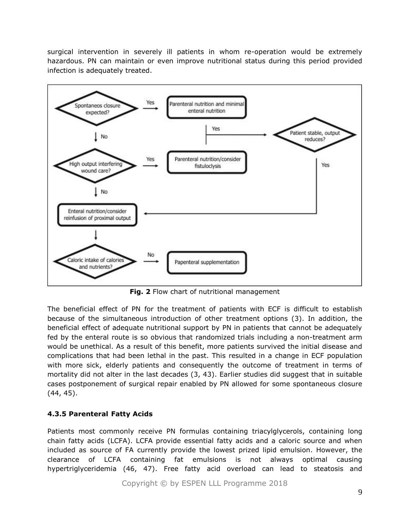surgical intervention in severely ill patients in whom re-operation would be extremely hazardous. PN can maintain or even improve nutritional status during this period provided infection is adequately treated.



**Fig. 2** Flow chart of nutritional management

The beneficial effect of PN for the treatment of patients with ECF is difficult to establish because of the simultaneous introduction of other treatment options (3). In addition, the beneficial effect of adequate nutritional support by PN in patients that cannot be adequately fed by the enteral route is so obvious that randomized trials including a non-treatment arm would be unethical. As a result of this benefit, more patients survived the initial disease and complications that had been lethal in the past. This resulted in a change in ECF population with more sick, elderly patients and consequently the outcome of treatment in terms of mortality did not alter in the last decades (3, 43). Earlier studies did suggest that in suitable cases postponement of surgical repair enabled by PN allowed for some spontaneous closure (44, 45).

## **4.3.5 Parenteral Fatty Acids**

Patients most commonly receive PN formulas containing triacylglycerols, containing long chain fatty acids (LCFA). LCFA provide essential fatty acids and a caloric source and when included as source of FA currently provide the lowest prized lipid emulsion. However, the clearance of LCFA containing fat emulsions is not always optimal causing hypertriglyceridemia (46, 47). Free fatty acid overload can lead to steatosis and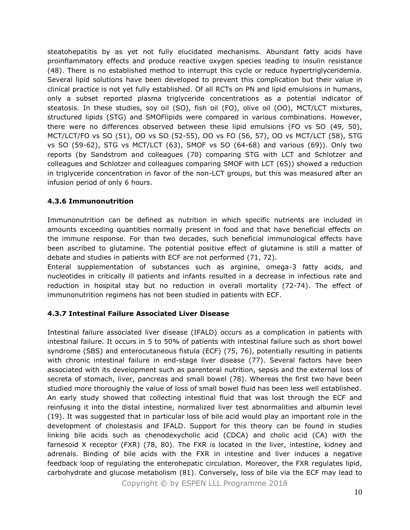steatohepatitis by as yet not fully elucidated mechanisms. Abundant fatty acids have proinflammatory effects and produce reactive oxygen species leading to insulin resistance (48). There is no established method to interrupt this cycle or reduce hypertriglyceridemia. Several lipid solutions have been developed to prevent this complication but their value in clinical practice is not yet fully established. Of all RCTs on PN and lipid emulsions in humans, only a subset reported plasma triglyceride concentrations as a potential indicator of steatosis. In these studies, soy oil (SO), fish oil (FO), olive oil (OO), MCT/LCT mixtures, structured lipids (STG) and SMOFlipids were compared in various combinations. However, there were no differences observed between these lipid emulsions (FO vs SO (49, 50), MCT/LCT/FO vs SO (51), OO vs SO (52-55), OO vs FO (56, 57), OO vs MCT/LCT (58), STG vs SO (59-62), STG vs MCT/LCT (63), SMOF vs SO (64-68) and various (69)). Only two reports (by Sandstrom and colleagues (70) comparing STG with LCT and Schlotzer and colleagues and Schlotzer and colleagues comparing SMOF with LCT (65)) showed a reduction in triglyceride concentration in favor of the non-LCT groups, but this was measured after an infusion period of only 6 hours.

#### **4.3.6 Immunonutrition**

Immunonutrition can be defined as nutrition in which specific nutrients are included in amounts exceeding quantities normally present in food and that have beneficial effects on the immune response. For than two decades, such beneficial immunological effects have been ascribed to glutamine. The potential positive effect of glutamine is still a matter of debate and studies in patients with ECF are not performed (71, 72).

Enteral supplementation of substances such as arginine, omega-3 fatty acids, and nucleotides in critically ill patients and infants resulted in a decrease in infectious rate and reduction in hospital stay but no reduction in overall mortality (72-74). The effect of immunonutrition regimens has not been studied in patients with ECF.

## **4.3.7 Intestinal Failure Associated Liver Disease**

Intestinal failure associated liver disease (IFALD) occurs as a complication in patients with intestinal failure. It occurs in 5 to 50% of patients with intestinal failure such as short bowel syndrome (SBS) and enterocutaneous fistula (ECF) (75, 76), potentially resulting in patients with chronic intestinal failure in end-stage liver disease (77). Several factors have been associated with its development such as parenteral nutrition, sepsis and the external loss of secreta of stomach, liver, pancreas and small bowel (78). Whereas the first two have been studied more thoroughly the value of loss of small bowel fluid has been less well established. An early study showed that collecting intestinal fluid that was lost through the ECF and reinfusing it into the distal intestine, normalized liver test abnormalities and albumin level (19). It was suggested that in particular loss of bile acid would play an important role in the development of cholestasis and IFALD. Support for this theory can be found in studies linking bile acids such as chenodexycholic acid (CDCA) and cholic acid (CA) with the farnesoid X receptor (FXR) (78, 80). The FXR is located in the liver, intestine, kidney and adrenals. Binding of bile acids with the FXR in intestine and liver induces a negative feedback loop of regulating the enterohepatic circulation. Moreover, the FXR regulates lipid, carbohydrate and glucose metabolism (81). Conversely, loss of bile via the ECF may lead to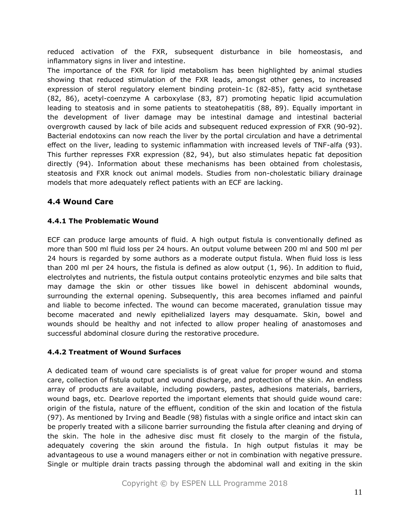reduced activation of the FXR, subsequent disturbance in bile homeostasis, and inflammatory signs in liver and intestine.

The importance of the FXR for lipid metabolism has been highlighted by animal studies showing that reduced stimulation of the FXR leads, amongst other genes, to increased expression of sterol regulatory element binding protein-1c (82-85), fatty acid synthetase (82, 86), acetyl-coenzyme A carboxylase (83, 87) promoting hepatic lipid accumulation leading to steatosis and in some patients to steatohepatitis (88, 89). Equally important in the development of liver damage may be intestinal damage and intestinal bacterial overgrowth caused by lack of bile acids and subsequent reduced expression of FXR (90-92). Bacterial endotoxins can now reach the liver by the portal circulation and have a detrimental effect on the liver, leading to systemic inflammation with increased levels of TNF-alfa (93). This further represses FXR expression (82, 94), but also stimulates hepatic fat deposition directly (94). Information about these mechanisms has been obtained from cholestasis, steatosis and FXR knock out animal models. Studies from non-cholestatic biliary drainage models that more adequately reflect patients with an ECF are lacking.

# **4.4 Wound Care**

## **4.4.1 The Problematic Wound**

ECF can produce large amounts of fluid. A high output fistula is conventionally defined as more than 500 ml fluid loss per 24 hours. An output volume between 200 ml and 500 ml per 24 hours is regarded by some authors as a moderate output fistula. When fluid loss is less than 200 ml per 24 hours, the fistula is defined as alow output (1, 96). In addition to fluid, electrolytes and nutrients, the fistula output contains proteolytic enzymes and bile salts that may damage the skin or other tissues like bowel in dehiscent abdominal wounds, surrounding the external opening. Subsequently, this area becomes inflamed and painful and liable to become infected. The wound can become macerated, granulation tissue may become macerated and newly epithelialized layers may desquamate. Skin, bowel and wounds should be healthy and not infected to allow proper healing of anastomoses and successful abdominal closure during the restorative procedure.

## **4.4.2 Treatment of Wound Surfaces**

A dedicated team of wound care specialists is of great value for proper wound and stoma care, collection of fistula output and wound discharge, and protection of the skin. An endless array of products are available, including powders, pastes, adhesions materials, barriers, wound bags, etc. Dearlove reported the important elements that should guide wound care: origin of the fistula, nature of the effluent, condition of the skin and location of the fistula (97). As mentioned by Irving and Beadle (98) fistulas with a single orifice and intact skin can be properly treated with a silicone barrier surrounding the fistula after cleaning and drying of the skin. The hole in the adhesive disc must fit closely to the margin of the fistula, adequately covering the skin around the fistula. In high output fistulas it may be advantageous to use a wound managers either or not in combination with negative pressure. Single or multiple drain tracts passing through the abdominal wall and exiting in the skin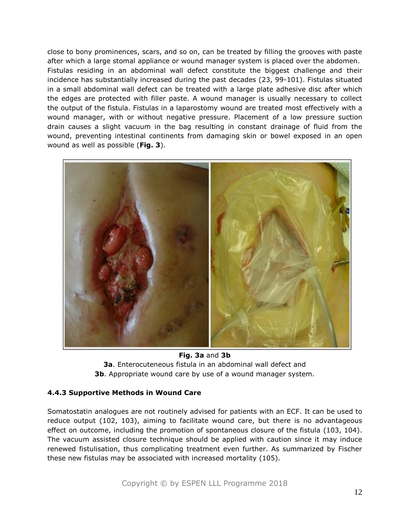close to bony prominences, scars, and so on, can be treated by filling the grooves with paste after which a large stomal appliance or wound manager system is placed over the abdomen. Fistulas residing in an abdominal wall defect constitute the biggest challenge and their incidence has substantially increased during the past decades (23, 99-101). Fistulas situated in a small abdominal wall defect can be treated with a large plate adhesive disc after which the edges are protected with filler paste. A wound manager is usually necessary to collect the output of the fistula. Fistulas in a laparostomy wound are treated most effectively with a wound manager, with or without negative pressure. Placement of a low pressure suction drain causes a slight vacuum in the bag resulting in constant drainage of fluid from the wound, preventing intestinal continents from damaging skin or bowel exposed in an open wound as well as possible (**Fig. 3**).



**Fig. 3a** and **3b 3a**. Enterocuteneous fistula in an abdominal wall defect and **3b**. Appropriate wound care by use of a wound manager system.

## **4.4.3 Supportive Methods in Wound Care**

Somatostatin analogues are not routinely advised for patients with an ECF. It can be used to reduce output (102, 103), aiming to facilitate wound care, but there is no advantageous effect on outcome, including the promotion of spontaneous closure of the fistula (103, 104). The vacuum assisted closure technique should be applied with caution since it may induce renewed fistulisation, thus complicating treatment even further. As summarized by Fischer these new fistulas may be associated with increased mortality (105).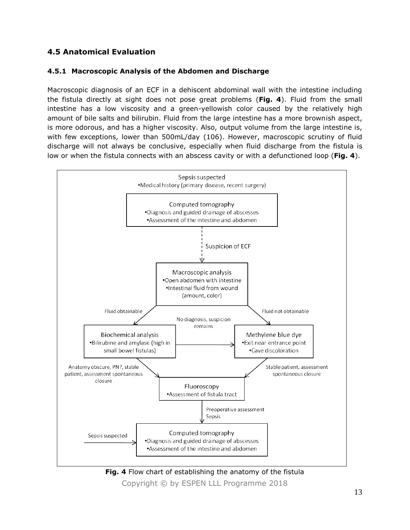# **4.5 Anatomical Evaluation**

#### **4.5.1 Macroscopic Analysis of the Abdomen and Discharge**

Macroscopic diagnosis of an ECF in a dehiscent abdominal wall with the intestine including the fistula directly at sight does not pose great problems (**Fig. 4**). Fluid from the small intestine has a low viscosity and a green-yellowish color caused by the relatively high amount of bile salts and bilirubin. Fluid from the large intestine has a more brownish aspect, is more odorous, and has a higher viscosity. Also, output volume from the large intestine is, with few exceptions, lower than 500mL/day (106). However, macroscopic scrutiny of fluid discharge will not always be conclusive, especially when fluid discharge from the fistula is low or when the fistula connects with an abscess cavity or with a defunctioned loop (**Fig. 4**).



Copyright © by ESPEN LLL Programme 2018 **Fig. 4** Flow chart of establishing the anatomy of the fistula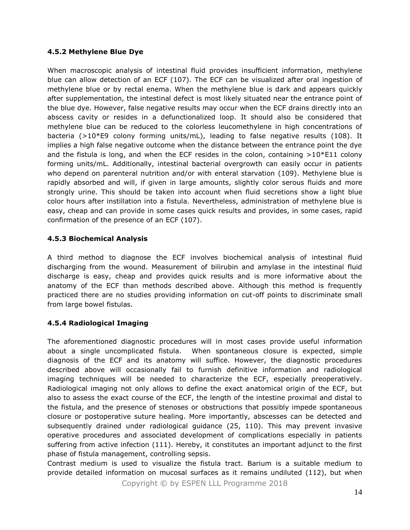#### **4.5.2 Methylene Blue Dye**

When macroscopic analysis of intestinal fluid provides insufficient information, methylene blue can allow detection of an ECF (107). The ECF can be visualized after oral ingestion of methylene blue or by rectal enema. When the methylene blue is dark and appears quickly after supplementation, the intestinal defect is most likely situated near the entrance point of the blue dye. However, false negative results may occur when the ECF drains directly into an abscess cavity or resides in a defunctionalized loop. It should also be considered that methylene blue can be reduced to the colorless leucomethylene in high concentrations of bacteria (>10\*E9 colony forming units/mL), leading to false negative results (108). It implies a high false negative outcome when the distance between the entrance point the dye and the fistula is long, and when the ECF resides in the colon, containing  $>10*E11$  colony forming units/mL. Additionally, intestinal bacterial overgrowth can easily occur in patients who depend on parenteral nutrition and/or with enteral starvation (109). Methylene blue is rapidly absorbed and will, if given in large amounts, slightly color serous fluids and more strongly urine. This should be taken into account when fluid secretions show a light blue color hours after instillation into a fistula. Nevertheless, administration of methylene blue is easy, cheap and can provide in some cases quick results and provides, in some cases, rapid confirmation of the presence of an ECF (107).

## **4.5.3 Biochemical Analysis**

A third method to diagnose the ECF involves biochemical analysis of intestinal fluid discharging from the wound. Measurement of bilirubin and amylase in the intestinal fluid discharge is easy, cheap and provides quick results and is more informative about the anatomy of the ECF than methods described above. Although this method is frequently practiced there are no studies providing information on cut-off points to discriminate small from large bowel fistulas.

## **4.5.4 Radiological Imaging**

The aforementioned diagnostic procedures will in most cases provide useful information about a single uncomplicated fistula. When spontaneous closure is expected, simple diagnosis of the ECF and its anatomy will suffice. However, the diagnostic procedures described above will occasionally fail to furnish definitive information and radiological imaging techniques will be needed to characterize the ECF, especially preoperatively. Radiological imaging not only allows to define the exact anatomical origin of the ECF, but also to assess the exact course of the ECF, the length of the intestine proximal and distal to the fistula, and the presence of stenoses or obstructions that possibly impede spontaneous closure or postoperative suture healing. More importantly, abscesses can be detected and subsequently drained under radiological guidance (25, 110). This may prevent invasive operative procedures and associated development of complications especially in patients suffering from active infection (111). Hereby, it constitutes an important adjunct to the first phase of fistula management, controlling sepsis.

Contrast medium is used to visualize the fistula tract. Barium is a suitable medium to provide detailed information on mucosal surfaces as it remains undiluted (112), but when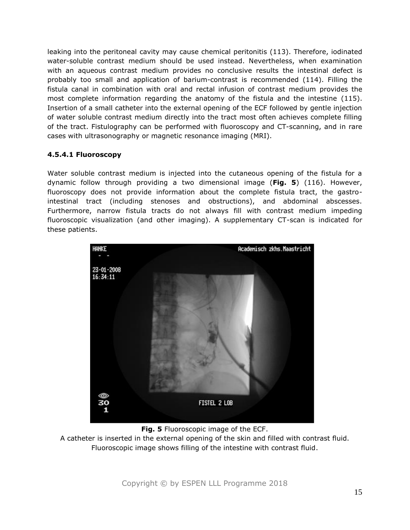leaking into the peritoneal cavity may cause chemical peritonitis (113). Therefore, iodinated water-soluble contrast medium should be used instead. Nevertheless, when examination with an aqueous contrast medium provides no conclusive results the intestinal defect is probably too small and application of barium-contrast is recommended (114). Filling the fistula canal in combination with oral and rectal infusion of contrast medium provides the most complete information regarding the anatomy of the fistula and the intestine (115). Insertion of a small catheter into the external opening of the ECF followed by gentle injection of water soluble contrast medium directly into the tract most often achieves complete filling of the tract. Fistulography can be performed with fluoroscopy and CT-scanning, and in rare cases with ultrasonography or magnetic resonance imaging (MRI).

#### **4.5.4.1 Fluoroscopy**

Water soluble contrast medium is injected into the cutaneous opening of the fistula for a dynamic follow through providing a two dimensional image (**Fig. 5**) (116). However, fluoroscopy does not provide information about the complete fistula tract, the gastrointestinal tract (including stenoses and obstructions), and abdominal abscesses. Furthermore, narrow fistula tracts do not always fill with contrast medium impeding fluoroscopic visualization (and other imaging). A supplementary CT-scan is indicated for these patients.



**Fig. 5** Fluoroscopic image of the ECF.

A catheter is inserted in the external opening of the skin and filled with contrast fluid. Fluoroscopic image shows filling of the intestine with contrast fluid.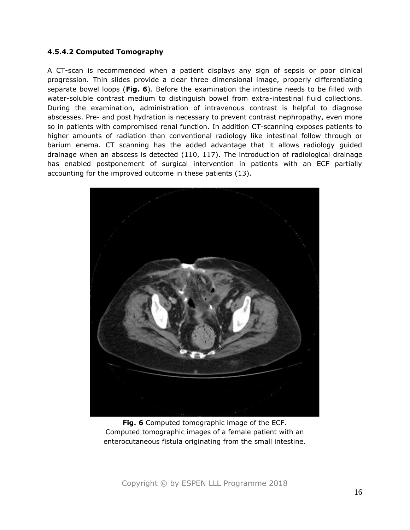#### **4.5.4.2 Computed Tomography**

A CT-scan is recommended when a patient displays any sign of sepsis or poor clinical progression. Thin slides provide a clear three dimensional image, properly differentiating separate bowel loops (**Fig. 6**). Before the examination the intestine needs to be filled with water-soluble contrast medium to distinguish bowel from extra-intestinal fluid collections. During the examination, administration of intravenous contrast is helpful to diagnose abscesses. Pre- and post hydration is necessary to prevent contrast nephropathy, even more so in patients with compromised renal function. In addition CT-scanning exposes patients to higher amounts of radiation than conventional radiology like intestinal follow through or barium enema. CT scanning has the added advantage that it allows radiology guided drainage when an abscess is detected (110, 117). The introduction of radiological drainage has enabled postponement of surgical intervention in patients with an ECF partially accounting for the improved outcome in these patients (13).



**Fig. 6** Computed tomographic image of the ECF. Computed tomographic images of a female patient with an enterocutaneous fistula originating from the small intestine.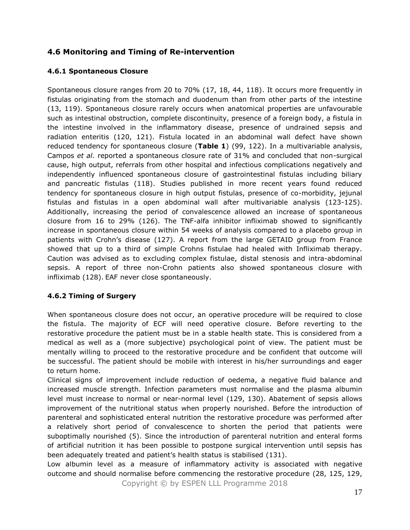# **4.6 Monitoring and Timing of Re-intervention**

## **4.6.1 Spontaneous Closure**

Spontaneous closure ranges from 20 to 70% (17, 18, 44, 118). It occurs more frequently in fistulas originating from the stomach and duodenum than from other parts of the intestine (13, 119). Spontaneous closure rarely occurs when anatomical properties are unfavourable such as intestinal obstruction, complete discontinuity, presence of a foreign body, a fistula in the intestine involved in the inflammatory disease, presence of undrained sepsis and radiation enteritis (120, 121). Fistula located in an abdominal wall defect have shown reduced tendency for spontaneous closure (**Table 1**) (99, 122). In a multivariable analysis, Campos *et al.* reported a spontaneous closure rate of 31% and concluded that non-surgical cause, high output, referrals from other hospital and infectious complications negatively and independently influenced spontaneous closure of gastrointestinal fistulas including biliary and pancreatic fistulas (118). Studies published in more recent years found reduced tendency for spontaneous closure in high output fistulas, presence of co-morbidity, jejunal fistulas and fistulas in a open abdominal wall after multivariable analysis (123-125). Additionally, increasing the period of convalescence allowed an increase of spontaneous closure from 16 to 29% (126). The TNF-alfa inhibitor infliximab showed to significantly increase in spontaneous closure within 54 weeks of analysis compared to a placebo group in patients with Crohn's disease (127). A report from the large GETAID group from France showed that up to a third of simple Crohns fistulae had healed with Infliximab therapy. Caution was advised as to excluding complex fistulae, distal stenosis and intra-abdominal sepsis. A report of three non-Crohn patients also showed spontaneous closure with infliximab (128). EAF never close spontaneously.

## **4.6.2 Timing of Surgery**

When spontaneous closure does not occur, an operative procedure will be required to close the fistula. The majority of ECF will need operative closure. Before reverting to the restorative procedure the patient must be in a stable health state. This is considered from a medical as well as a (more subjective) psychological point of view. The patient must be mentally willing to proceed to the restorative procedure and be confident that outcome will be successful. The patient should be mobile with interest in his/her surroundings and eager to return home.

Clinical signs of improvement include reduction of oedema, a negative fluid balance and increased muscle strength. Infection parameters must normalise and the plasma albumin level must increase to normal or near-normal level (129, 130). Abatement of sepsis allows improvement of the nutritional status when properly nourished. Before the introduction of parenteral and sophisticated enteral nutrition the restorative procedure was performed after a relatively short period of convalescence to shorten the period that patients were suboptimally nourished (5). Since the introduction of parenteral nutrition and enteral forms of artificial nutrition it has been possible to postpone surgical intervention until sepsis has been adequately treated and patient's health status is stabilised (131).

Low albumin level as a measure of inflammatory activity is associated with negative outcome and should normalise before commencing the restorative procedure (28, 125, 129,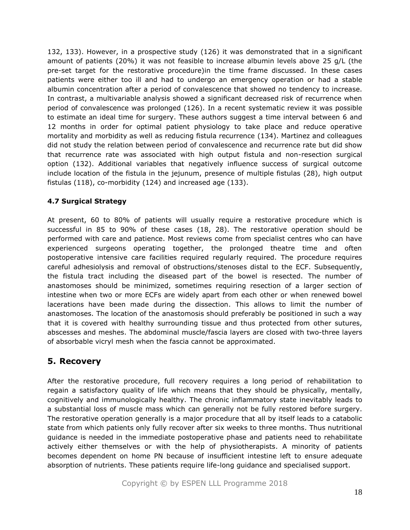132, 133). However, in a prospective study (126) it was demonstrated that in a significant amount of patients (20%) it was not feasible to increase albumin levels above 25 g/L (the pre-set target for the restorative procedure)in the time frame discussed. In these cases patients were either too ill and had to undergo an emergency operation or had a stable albumin concentration after a period of convalescence that showed no tendency to increase. In contrast, a multivariable analysis showed a significant decreased risk of recurrence when period of convalescence was prolonged (126). In a recent systematic review it was possible to estimate an ideal time for surgery. These authors suggest a time interval between 6 and 12 months in order for optimal patient physiology to take place and reduce operative mortality and morbidity as well as reducing fistula recurrence (134). Martinez and colleagues did not study the relation between period of convalescence and recurrence rate but did show that recurrence rate was associated with high output fistula and non-resection surgical option (132). Additional variables that negatively influence success of surgical outcome include location of the fistula in the jejunum, presence of multiple fistulas (28), high output fistulas (118), co-morbidity (124) and increased age (133).

## **4.7 Surgical Strategy**

At present, 60 to 80% of patients will usually require a restorative procedure which is successful in 85 to 90% of these cases (18, 28). The restorative operation should be performed with care and patience. Most reviews come from specialist centres who can have experienced surgeons operating together, the prolonged theatre time and often postoperative intensive care facilities required regularly required. The procedure requires careful adhesiolysis and removal of obstructions/stenoses distal to the ECF. Subsequently, the fistula tract including the diseased part of the bowel is resected. The number of anastomoses should be minimized, sometimes requiring resection of a larger section of intestine when two or more ECFs are widely apart from each other or when renewed bowel lacerations have been made during the dissection. This allows to limit the number of anastomoses. The location of the anastomosis should preferably be positioned in such a way that it is covered with healthy surrounding tissue and thus protected from other sutures, abscesses and meshes. The abdominal muscle/fascia layers are closed with two-three layers of absorbable vicryl mesh when the fascia cannot be approximated.

# **5. Recovery**

After the restorative procedure, full recovery requires a long period of rehabilitation to regain a satisfactory quality of life which means that they should be physically, mentally, cognitively and immunologically healthy. The chronic inflammatory state inevitably leads to a substantial loss of muscle mass which can generally not be fully restored before surgery. The restorative operation generally is a major procedure that all by itself leads to a catabolic state from which patients only fully recover after six weeks to three months. Thus nutritional guidance is needed in the immediate postoperative phase and patients need to rehabilitate actively either themselves or with the help of physiotherapists. A minority of patients becomes dependent on home PN because of insufficient intestine left to ensure adequate absorption of nutrients. These patients require life-long guidance and specialised support.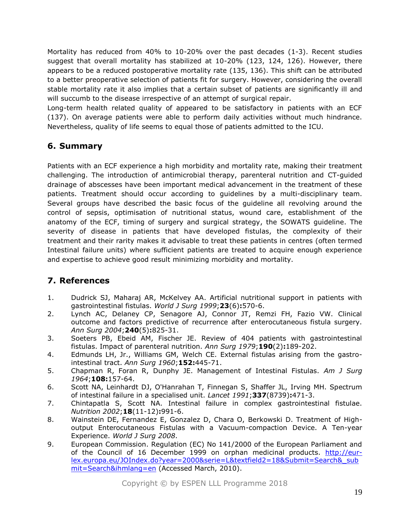Mortality has reduced from 40% to 10-20% over the past decades (1-3). Recent studies suggest that overall mortality has stabilized at 10-20% (123, 124, 126). However, there appears to be a reduced postoperative mortality rate (135, 136). This shift can be attributed to a better preoperative selection of patients fit for surgery. However, considering the overall stable mortality rate it also implies that a certain subset of patients are significantly ill and will succumb to the disease irrespective of an attempt of surgical repair.

Long-term health related quality of appeared to be satisfactory in patients with an ECF (137). On average patients were able to perform daily activities without much hindrance. Nevertheless, quality of life seems to equal those of patients admitted to the ICU.

# **6. Summary**

Patients with an ECF experience a high morbidity and mortality rate, making their treatment challenging. The introduction of antimicrobial therapy, parenteral nutrition and CT-guided drainage of abscesses have been important medical advancement in the treatment of these patients. Treatment should occur according to guidelines by a multi-disciplinary team. Several groups have described the basic focus of the guideline all revolving around the control of sepsis, optimisation of nutritional status, wound care, establishment of the anatomy of the ECF, timing of surgery and surgical strategy, the SOWATS guideline. The severity of disease in patients that have developed fistulas, the complexity of their treatment and their rarity makes it advisable to treat these patients in centres (often termed Intestinal failure units) where sufficient patients are treated to acquire enough experience and expertise to achieve good result minimizing morbidity and mortality.

# **7. References**

- 1. Dudrick SJ, Maharaj AR, McKelvey AA. Artificial nutritional support in patients with gastrointestinal fistulas. *World J Surg 1999*;**23**(6)**:**570-6.
- 2. Lynch AC, Delaney CP, Senagore AJ, Connor JT, Remzi FH, Fazio VW. Clinical outcome and factors predictive of recurrence after enterocutaneous fistula surgery. *Ann Surg 2004*;**240**(5)**:**825-31.
- 3. Soeters PB, Ebeid AM, Fischer JE. Review of 404 patients with gastrointestinal fistulas. Impact of parenteral nutrition. *Ann Surg 1979*;**190**(2)**:**189-202.
- 4. Edmunds LH, Jr., Williams GM, Welch CE. External fistulas arising from the gastrointestinal tract. *Ann Surg 1960*;**152:**445-71.
- 5. Chapman R, Foran R, Dunphy JE. Management of Intestinal Fistulas. *Am J Surg 1964*;**108:**157-64.
- 6. Scott NA, Leinhardt DJ, O'Hanrahan T, Finnegan S, Shaffer JL, Irving MH. Spectrum of intestinal failure in a specialised unit. *Lancet 1991*;**337**(8739)**:**471-3.
- 7. Chintapatla S, Scott NA. Intestinal failure in complex gastrointestinal fistulae. *Nutrition 2002*;**18**(11-12)**:**991-6.
- 8. Wainstein DE, Fernandez E, Gonzalez D, Chara O, Berkowski D. Treatment of Highoutput Enterocutaneous Fistulas with a Vacuum-compaction Device. A Ten-year Experience. *World J Surg 2008*.
- 9. European Commission. Regulation (EC) No 141/2000 of the European Parliament and of the Council of 16 December 1999 on orphan medicinal products. [http://eur](http://eur-lex.europa.eu/JOIndex.do?year=2000&serie=L&textfield2=18&Submit=Search&_submit=Search&ihmlang=en)[lex.europa.eu/JOIndex.do?year=2000&serie=L&textfield2=18&Submit=Search&\\_sub](http://eur-lex.europa.eu/JOIndex.do?year=2000&serie=L&textfield2=18&Submit=Search&_submit=Search&ihmlang=en) [mit=Search&ihmlang=en](http://eur-lex.europa.eu/JOIndex.do?year=2000&serie=L&textfield2=18&Submit=Search&_submit=Search&ihmlang=en) (Accessed March, 2010).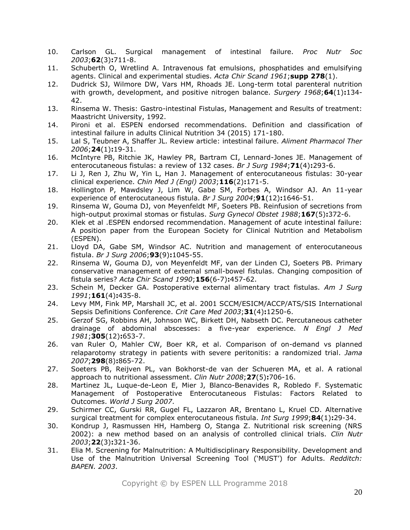- 10. Carlson GL. Surgical management of intestinal failure. *Proc Nutr Soc 2003*;**62**(3)**:**711-8.
- 11. Schuberth O, Wretlind A. Intravenous fat emulsions, phosphatides and emulsifying agents. Clinical and experimental studies. *Acta Chir Scand 1961*;**supp 278**(1).
- 12. Dudrick SJ, Wilmore DW, Vars HM, Rhoads JE. Long-term total parenteral nutrition with growth, development, and positive nitrogen balance. *Surgery 1968*;**64**(1)**:**134- 42.
- 13. Rinsema W. Thesis: Gastro-intestinal Fistulas, Management and Results of treatment: Maastricht University, 1992.
- 14. Pironi et al. ESPEN endorsed recommendations. Definition and classification of intestinal failure in adults Clinical Nutrition 34 (2015) 171-180.
- 15. Lal S, Teubner A, Shaffer JL. Review article: intestinal failure. *Aliment Pharmacol Ther 2006*;**24**(1)**:**19-31.
- 16. McIntyre PB, Ritchie JK, Hawley PR, Bartram CI, Lennard-Jones JE. Management of enterocutaneous fistulas: a review of 132 cases. *Br J Surg 1984*;**71**(4)**:**293-6.
- 17. Li J, Ren J, Zhu W, Yin L, Han J. Management of enterocutaneous fistulas: 30-year clinical experience. *Chin Med J (Engl) 2003*;**116**(2)**:**171-5.
- 18. Hollington P, Mawdsley J, Lim W, Gabe SM, Forbes A, Windsor AJ. An 11-year experience of enterocutaneous fistula. *Br J Surg 2004*;**91**(12)**:**1646-51.
- 19. Rinsema W, Gouma DJ, von Meyenfeldt MF, Soeters PB. Reinfusion of secretions from high-output proximal stomas or fistulas. *Surg Gynecol Obstet 1988*;**167**(5)**:**372-6.
- 20. Klek et al .ESPEN endorsed recommendation. Management of acute intestinal failure: A position paper from the European Society for Clinical Nutrition and Metabolism (ESPEN).
- 21. Lloyd DA, Gabe SM, Windsor AC. Nutrition and management of enterocutaneous fistula. *Br J Surg 2006*;**93**(9)**:**1045-55.
- 22. Rinsema W, Gouma DJ, von Meyenfeldt MF, van der Linden CJ, Soeters PB. Primary conservative management of external small-bowel fistulas. Changing composition of fistula series? *Acta Chir Scand 1990*;**156**(6-7)**:**457-62.
- 23. Schein M, Decker GA. Postoperative external alimentary tract fistulas. *Am J Surg 1991*;**161**(4)**:**435-8.
- 24. Levy MM, Fink MP, Marshall JC, et al. 2001 SCCM/ESICM/ACCP/ATS/SIS International Sepsis Definitions Conference. *Crit Care Med 2003*;**31**(4)**:**1250-6.
- 25. Gerzof SG, Robbins AH, Johnson WC, Birkett DH, Nabseth DC. Percutaneous catheter drainage of abdominal abscesses: a five-year experience. *N Engl J Med 1981*;**305**(12)**:**653-7.
- 26. van Ruler O, Mahler CW, Boer KR, et al. Comparison of on-demand vs planned relaparotomy strategy in patients with severe peritonitis: a randomized trial. *Jama 2007*;**298**(8)**:**865-72.
- 27. Soeters PB, Reijven PL, van Bokhorst-de van der Schueren MA, et al. A rational approach to nutritional assessment. *Clin Nutr 2008*;**27**(5)**:**706-16.
- 28. Martinez JL, Luque-de-Leon E, Mier J, Blanco-Benavides R, Robledo F. Systematic Management of Postoperative Enterocutaneous Fistulas: Factors Related to Outcomes. *World J Surg 2007*.
- 29. Schirmer CC, Gurski RR, Gugel FL, Lazzaron AR, Brentano L, Kruel CD. Alternative surgical treatment for complex enterocutaneous fistula. *Int Surg 1999*;**84**(1)**:**29-34.
- 30. Kondrup J, Rasmussen HH, Hamberg O, Stanga Z. Nutritional risk screening (NRS 2002): a new method based on an analysis of controlled clinical trials. *Clin Nutr 2003*;**22**(3)**:**321-36.
- 31. Elia M. Screening for Malnutrition: A Multidisciplinary Responsibility. Development and Use of the Malnutrition Universal Screening Tool ('MUST') for Adults. *Redditch: BAPEN. 2003*.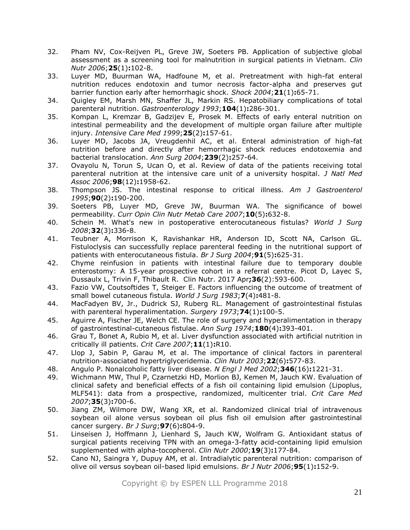- 32. Pham NV, Cox-Reijven PL, Greve JW, Soeters PB. Application of subjective global assessment as a screening tool for malnutrition in surgical patients in Vietnam. *Clin Nutr 2006*;**25**(1)**:**102-8.
- 33. Luyer MD, Buurman WA, Hadfoune M, et al. Pretreatment with high-fat enteral nutrition reduces endotoxin and tumor necrosis factor-alpha and preserves gut barrier function early after hemorrhagic shock. *Shock 2004*;**21**(1)**:**65-71.
- 34. Quigley EM, Marsh MN, Shaffer JL, Markin RS. Hepatobiliary complications of total parenteral nutrition. *Gastroenterology 1993*;**104**(1)**:**286-301.
- 35. Kompan L, Kremzar B, Gadzijev E, Prosek M. Effects of early enteral nutrition on intestinal permeability and the development of multiple organ failure after multiple injury. *Intensive Care Med 1999*;**25**(2)**:**157-61.
- 36. Luyer MD, Jacobs JA, Vreugdenhil AC, et al. Enteral administration of high-fat nutrition before and directly after hemorrhagic shock reduces endotoxemia and bacterial translocation. *Ann Surg 2004*;**239**(2)**:**257-64.
- 37. Ovayolu N, Torun S, Ucan O, et al. Review of data of the patients receiving total parenteral nutrition at the intensive care unit of a university hospital. *J Natl Med Assoc 2006*;**98**(12)**:**1958-62.
- 38. Thompson JS. The intestinal response to critical illness. *Am J Gastroenterol 1995*;**90**(2)**:**190-200.
- 39. Soeters PB, Luyer MD, Greve JW, Buurman WA. The significance of bowel permeability. *Curr Opin Clin Nutr Metab Care 2007*;**10**(5)**:**632-8.
- 40. Schein M. What's new in postoperative enterocutaneous fistulas? *World J Surg 2008*;**32**(3)**:**336-8.
- 41. Teubner A, Morrison K, Ravishankar HR, Anderson ID, Scott NA, Carlson GL. Fistuloclysis can successfully replace parenteral feeding in the nutritional support of patients with enterocutaneous fistula. *Br J Surg 2004*;**91**(5)**:**625-31.
- 42. [Chyme reinfusion in patients with intestinal failure due to temporary double](https://www.ncbi.nlm.nih.gov/pubmed/27161895)  [enterostomy: A 15-year prospective cohort in a referral centre.](https://www.ncbi.nlm.nih.gov/pubmed/27161895) Picot D, Layec S, Dussaulx L, Trivin F, Thibault R. Clin Nutr. 2017 Apr**;36**(2):593-600.
- 43. Fazio VW, Coutsoftides T, Steiger E. Factors influencing the outcome of treatment of small bowel cutaneous fistula. *World J Surg 1983*;**7**(4)**:**481-8.
- 44. MacFadyen BV, Jr., Dudrick SJ, Ruberg RL. Management of gastrointestinal fistulas with parenteral hyperalimentation. *Surgery 1973*;**74**(1)**:**100-5.
- 45. Aguirre A, Fischer JE, Welch CE. The role of surgery and hyperalimentation in therapy of gastrointestinal-cutaneous fistulae. *Ann Surg 1974*;**180**(4)**:**393-401.
- 46. Grau T, Bonet A, Rubio M, et al. Liver dysfunction associated with artificial nutrition in critically ill patients. *Crit Care 2007*;**11**(1)**:**R10.
- 47. Llop J, Sabin P, Garau M, et al. The importance of clinical factors in parenteral nutrition-associated hypertriglyceridemia. *Clin Nutr 2003*;**22**(6)**:**577-83.
- 48. Angulo P. Nonalcoholic fatty liver disease. *N Engl J Med 2002*;**346**(16)**:**1221-31.
- 49. Wichmann MW, Thul P, Czarnetzki HD, Morlion BJ, Kemen M, Jauch KW. Evaluation of clinical safety and beneficial effects of a fish oil containing lipid emulsion (Lipoplus, MLF541): data from a prospective, randomized, multicenter trial. *Crit Care Med 2007*;**35**(3)**:**700-6.
- 50. Jiang ZM, Wilmore DW, Wang XR, et al. Randomized clinical trial of intravenous soybean oil alone versus soybean oil plus fish oil emulsion after gastrointestinal cancer surgery. *Br J Surg*;**97**(6)**:**804-9.
- 51. Linseisen J, Hoffmann J, Lienhard S, Jauch KW, Wolfram G. Antioxidant status of surgical patients receiving TPN with an omega-3-fatty acid-containing lipid emulsion supplemented with alpha-tocopherol. *Clin Nutr 2000*;**19**(3)**:**177-84.
- 52. Cano NJ, Saingra Y, Dupuy AM, et al. Intradialytic parenteral nutrition: comparison of olive oil versus soybean oil-based lipid emulsions. *Br J Nutr 2006*;**95**(1)**:**152-9.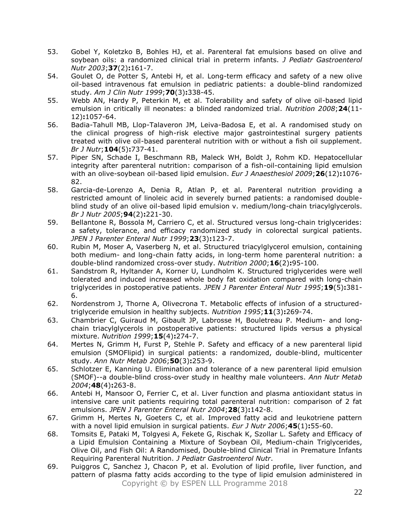- 53. Gobel Y, Koletzko B, Bohles HJ, et al. Parenteral fat emulsions based on olive and soybean oils: a randomized clinical trial in preterm infants. *J Pediatr Gastroenterol Nutr 2003*;**37**(2)**:**161-7.
- 54. Goulet O, de Potter S, Antebi H, et al. Long-term efficacy and safety of a new olive oil-based intravenous fat emulsion in pediatric patients: a double-blind randomized study. *Am J Clin Nutr 1999*;**70**(3)**:**338-45.
- 55. Webb AN, Hardy P, Peterkin M, et al. Tolerability and safety of olive oil-based lipid emulsion in critically ill neonates: a blinded randomized trial. *Nutrition 2008*;**24**(11- 12)**:**1057-64.
- 56. Badia-Tahull MB, Llop-Talaveron JM, Leiva-Badosa E, et al. A randomised study on the clinical progress of high-risk elective major gastrointestinal surgery patients treated with olive oil-based parenteral nutrition with or without a fish oil supplement. *Br J Nutr*;**104**(5)**:**737-41.
- 57. Piper SN, Schade I, Beschmann RB, Maleck WH, Boldt J, Rohm KD. Hepatocellular integrity after parenteral nutrition: comparison of a fish-oil-containing lipid emulsion with an olive-soybean oil-based lipid emulsion. *Eur J Anaesthesiol 2009*;**26**(12)**:**1076- 82.
- 58. Garcia-de-Lorenzo A, Denia R, Atlan P, et al. Parenteral nutrition providing a restricted amount of linoleic acid in severely burned patients: a randomised doubleblind study of an olive oil-based lipid emulsion v. medium/long-chain triacylglycerols. *Br J Nutr 2005*;**94**(2)**:**221-30.
- 59. Bellantone R, Bossola M, Carriero C, et al. Structured versus long-chain triglycerides: a safety, tolerance, and efficacy randomized study in colorectal surgical patients. *JPEN J Parenter Enteral Nutr 1999*;**23**(3)**:**123-7.
- 60. Rubin M, Moser A, Vaserberg N, et al. Structured triacylglycerol emulsion, containing both medium- and long-chain fatty acids, in long-term home parenteral nutrition: a double-blind randomized cross-over study. *Nutrition 2000*;**16**(2)**:**95-100.
- 61. Sandstrom R, Hyltander A, Korner U, Lundholm K. Structured triglycerides were well tolerated and induced increased whole body fat oxidation compared with long-chain triglycerides in postoperative patients. *JPEN J Parenter Enteral Nutr 1995*;**19**(5)**:**381- 6.
- 62. Nordenstrom J, Thorne A, Olivecrona T. Metabolic effects of infusion of a structuredtriglyceride emulsion in healthy subjects. *Nutrition 1995*;**11**(3)**:**269-74.
- 63. Chambrier C, Guiraud M, Gibault JP, Labrosse H, Bouletreau P. Medium- and longchain triacylglycerols in postoperative patients: structured lipids versus a physical mixture. *Nutrition 1999*;**15**(4)**:**274-7.
- 64. Mertes N, Grimm H, Furst P, Stehle P. Safety and efficacy of a new parenteral lipid emulsion (SMOFlipid) in surgical patients: a randomized, double-blind, multicenter study. *Ann Nutr Metab 2006*;**50**(3)**:**253-9.
- 65. Schlotzer E, Kanning U. Elimination and tolerance of a new parenteral lipid emulsion (SMOF)--a double-blind cross-over study in healthy male volunteers. *Ann Nutr Metab 2004*;**48**(4)**:**263-8.
- 66. Antebi H, Mansoor O, Ferrier C, et al. Liver function and plasma antioxidant status in intensive care unit patients requiring total parenteral nutrition: comparison of 2 fat emulsions. *JPEN J Parenter Enteral Nutr 2004*;**28**(3)**:**142-8.
- 67. Grimm H, Mertes N, Goeters C, et al. Improved fatty acid and leukotriene pattern with a novel lipid emulsion in surgical patients. *Eur J Nutr 2006*;**45**(1)**:**55-60.
- 68. Tomsits E, Pataki M, Tolgyesi A, Fekete G, Rischak K, Szollar L. Safety and Efficacy of a Lipid Emulsion Containing a Mixture of Soybean Oil, Medium-chain Triglycerides, Olive Oil, and Fish Oil: A Randomised, Double-blind Clinical Trial in Premature Infants Requiring Parenteral Nutrition. *J Pediatr Gastroenterol Nutr*.
- Copyright © by ESPEN LLL Programme 2018 69. Puiggros C, Sanchez J, Chacon P, et al. Evolution of lipid profile, liver function, and pattern of plasma fatty acids according to the type of lipid emulsion administered in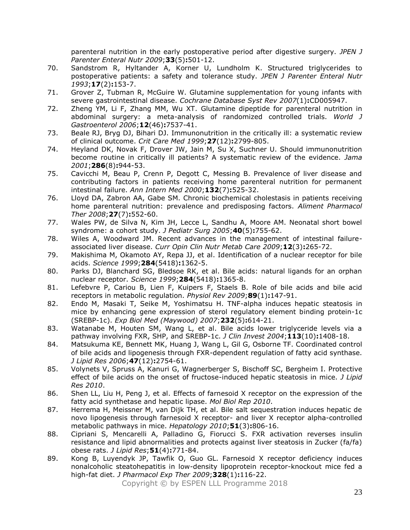parenteral nutrition in the early postoperative period after digestive surgery. *JPEN J Parenter Enteral Nutr 2009*;**33**(5)**:**501-12.

- 70. Sandstrom R, Hyltander A, Korner U, Lundholm K. Structured triglycerides to postoperative patients: a safety and tolerance study. *JPEN J Parenter Enteral Nutr 1993*;**17**(2)**:**153-7.
- 71. Grover Z, Tubman R, McGuire W. Glutamine supplementation for young infants with severe gastrointestinal disease. *Cochrane Database Syst Rev 2007*(1)**:**CD005947.
- 72. Zheng YM, Li F, Zhang MM, Wu XT. Glutamine dipeptide for parenteral nutrition in abdominal surgery: a meta-analysis of randomized controlled trials. *World J Gastroenterol 2006*;**12**(46)**:**7537-41.
- 73. Beale RJ, Bryg DJ, Bihari DJ. Immunonutrition in the critically ill: a systematic review of clinical outcome. *Crit Care Med 1999*;**27**(12)**:**2799-805.
- 74. Heyland DK, Novak F, Drover JW, Jain M, Su X, Suchner U. Should immunonutrition become routine in critically ill patients? A systematic review of the evidence. *Jama 2001*;**286**(8)**:**944-53.
- 75. Cavicchi M, Beau P, Crenn P, Degott C, Messing B. Prevalence of liver disease and contributing factors in patients receiving home parenteral nutrition for permanent intestinal failure. *Ann Intern Med 2000*;**132**(7)**:**525-32.
- 76. Lloyd DA, Zabron AA, Gabe SM. Chronic biochemical cholestasis in patients receiving home parenteral nutrition: prevalence and predisposing factors. *Aliment Pharmacol Ther 2008*;**27**(7)**:**552-60.
- 77. Wales PW, de Silva N, Kim JH, Lecce L, Sandhu A, Moore AM. Neonatal short bowel syndrome: a cohort study. *J Pediatr Surg 2005*;**40**(5)**:**755-62.
- 78. Wiles A, Woodward JM. Recent advances in the management of intestinal failureassociated liver disease. *Curr Opin Clin Nutr Metab Care 2009*;**12**(3)**:**265-72.
- 79. Makishima M, Okamoto AY, Repa JJ, et al. Identification of a nuclear receptor for bile acids. *Science 1999*;**284**(5418)**:**1362-5.
- 80. Parks DJ, Blanchard SG, Bledsoe RK, et al. Bile acids: natural ligands for an orphan nuclear receptor. *Science 1999*;**284**(5418)**:**1365-8.
- 81. Lefebvre P, Cariou B, Lien F, Kuipers F, Staels B. Role of bile acids and bile acid receptors in metabolic regulation. *Physiol Rev 2009*;**89**(1)**:**147-91.
- 82. Endo M, Masaki T, Seike M, Yoshimatsu H. TNF-alpha induces hepatic steatosis in mice by enhancing gene expression of sterol regulatory element binding protein-1c (SREBP-1c). *Exp Biol Med (Maywood) 2007*;**232**(5)**:**614-21.
- 83. Watanabe M, Houten SM, Wang L, et al. Bile acids lower triglyceride levels via a pathway involving FXR, SHP, and SREBP-1c. *J Clin Invest 2004*;**113**(10)**:**1408-18.
- 84. Matsukuma KE, Bennett MK, Huang J, Wang L, Gil G, Osborne TF. Coordinated control of bile acids and lipogenesis through FXR-dependent regulation of fatty acid synthase. *J Lipid Res 2006*;**47**(12)**:**2754-61.
- 85. Volynets V, Spruss A, Kanuri G, Wagnerberger S, Bischoff SC, Bergheim I. Protective effect of bile acids on the onset of fructose-induced hepatic steatosis in mice. *J Lipid Res 2010*.
- 86. Shen LL, Liu H, Peng J, et al. Effects of farnesoid X receptor on the expression of the fatty acid synthetase and hepatic lipase. *Mol Biol Rep 2010*.
- 87. Herrema H, Meissner M, van Dijk TH, et al. Bile salt sequestration induces hepatic de novo lipogenesis through farnesoid X receptor- and liver X receptor alpha-controlled metabolic pathways in mice. *Hepatology 2010*;**51**(3)**:**806-16.
- 88. Cipriani S, Mencarelli A, Palladino G, Fiorucci S. FXR activation reverses insulin resistance and lipid abnormalities and protects against liver steatosis in Zucker (fa/fa) obese rats. *J Lipid Res*;**51**(4)**:**771-84.
- 89. Kong B, Luyendyk JP, Tawfik O, Guo GL. Farnesoid X receptor deficiency induces nonalcoholic steatohepatitis in low-density lipoprotein receptor-knockout mice fed a high-fat diet. *J Pharmacol Exp Ther 2009*;**328**(1)**:**116-22.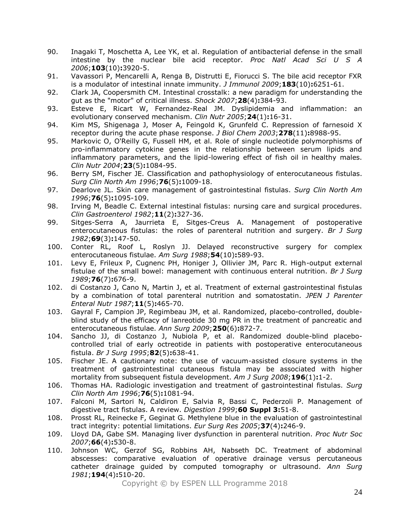- 90. Inagaki T, Moschetta A, Lee YK, et al. Regulation of antibacterial defense in the small intestine by the nuclear bile acid receptor. *Proc Natl Acad Sci U S A 2006*;**103**(10)**:**3920-5.
- 91. Vavassori P, Mencarelli A, Renga B, Distrutti E, Fiorucci S. The bile acid receptor FXR is a modulator of intestinal innate immunity. *J Immunol 2009*;**183**(10)**:**6251-61.
- 92. Clark JA, Coopersmith CM. Intestinal crosstalk: a new paradigm for understanding the gut as the "motor" of critical illness. *Shock 2007*;**28**(4)**:**384-93.
- 93. Esteve E, Ricart W, Fernandez-Real JM. Dyslipidemia and inflammation: an evolutionary conserved mechanism. *Clin Nutr 2005*;**24**(1)**:**16-31.
- 94. Kim MS, Shigenaga J, Moser A, Feingold K, Grunfeld C. Repression of farnesoid X receptor during the acute phase response. *J Biol Chem 2003*;**278**(11)**:**8988-95.
- 95. Markovic O, O'Reilly G, Fussell HM, et al. Role of single nucleotide polymorphisms of pro-inflammatory cytokine genes in the relationship between serum lipids and inflammatory parameters, and the lipid-lowering effect of fish oil in healthy males. *Clin Nutr 2004*;**23**(5)**:**1084-95.
- 96. Berry SM, Fischer JE. Classification and pathophysiology of enterocutaneous fistulas. *Surg Clin North Am 1996*;**76**(5)**:**1009-18.
- 97. Dearlove JL. Skin care management of gastrointestinal fistulas. *Surg Clin North Am 1996*;**76**(5)**:**1095-109.
- 98. Irving M, Beadle C. External intestinal fistulas: nursing care and surgical procedures. *Clin Gastroenterol 1982*;**11**(2)**:**327-36.
- 99. Sitges-Serra A, Jaurrieta E, Sitges-Creus A. Management of postoperative enterocutaneous fistulas: the roles of parenteral nutrition and surgery. *Br J Surg 1982*;**69**(3)**:**147-50.
- 100. Conter RL, Roof L, Roslyn JJ. Delayed reconstructive surgery for complex enterocutaneous fistulae. *Am Surg 1988*;**54**(10)**:**589-93.
- 101. Levy E, Frileux P, Cugnenc PH, Honiger J, Ollivier JM, Parc R. High-output external fistulae of the small bowel: management with continuous enteral nutrition. *Br J Surg 1989*;**76**(7)**:**676-9.
- 102. di Costanzo J, Cano N, Martin J, et al. Treatment of external gastrointestinal fistulas by a combination of total parenteral nutrition and somatostatin. *JPEN J Parenter Enteral Nutr 1987*;**11**(5)**:**465-70.
- 103. Gayral F, Campion JP, Regimbeau JM, et al. Randomized, placebo-controlled, doubleblind study of the efficacy of lanreotide 30 mg PR in the treatment of pancreatic and enterocutaneous fistulae. *Ann Surg 2009*;**250**(6)**:**872-7.
- 104. Sancho JJ, di Costanzo J, Nubiola P, et al. Randomized double-blind placebocontrolled trial of early octreotide in patients with postoperative enterocutaneous fistula. *Br J Surg 1995*;**82**(5)**:**638-41.
- 105. Fischer JE. A cautionary note: the use of vacuum-assisted closure systems in the treatment of gastrointestinal cutaneous fistula may be associated with higher mortality from subsequent fistula development. *Am J Surg 2008*;**196**(1)**:**1-2.
- 106. Thomas HA. Radiologic investigation and treatment of gastrointestinal fistulas. *Surg Clin North Am 1996*;**76**(5)**:**1081-94.
- 107. Falconi M, Sartori N, Caldiron E, Salvia R, Bassi C, Pederzoli P. Management of digestive tract fistulas. A review. *Digestion 1999*;**60 Suppl 3:**51-8.
- 108. Prosst RL, Reinecke F, Geginat G. Methylene blue in the evaluation of gastrointestinal tract integrity: potential limitations. *Eur Surg Res 2005*;**37**(4)**:**246-9.
- 109. Lloyd DA, Gabe SM. Managing liver dysfunction in parenteral nutrition. *Proc Nutr Soc 2007*;**66**(4)**:**530-8.
- 110. Johnson WC, Gerzof SG, Robbins AH, Nabseth DC. Treatment of abdominal abscesses: comparative evaluation of operative drainage versus percutaneous catheter drainage guided by computed tomography or ultrasound. *Ann Surg 1981*;**194**(4)**:**510-20.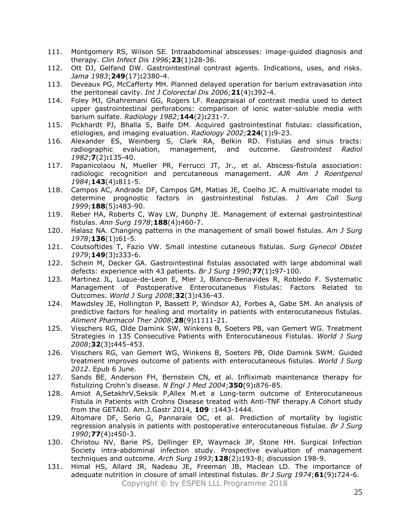- 111. Montgomery RS, Wilson SE. Intraabdominal abscesses: image-guided diagnosis and therapy. *Clin Infect Dis 1996*;**23**(1)**:**28-36.
- 112. Ott DJ, Gelfand DW. Gastrointestinal contrast agents. Indications, uses, and risks. *Jama 1983*;**249**(17)**:**2380-4.
- 113. Deveaux PG, McCafferty MH. Planned delayed operation for barium extravasation into the peritoneal cavity. *Int J Colorectal Dis 2006*;**21**(4)**:**392-4.
- 114. Foley MJ, Ghahremani GG, Rogers LF. Reappraisal of contrast media used to detect upper gastrointestinal perforations: comparison of ionic water-soluble media with barium sulfate. *Radiology 1982*;**144**(2)**:**231-7.
- 115. Pickhardt PJ, Bhalla S, Balfe DM. Acquired gastrointestinal fistulas: classification, etiologies, and imaging evaluation. *Radiology 2002*;**224**(1)**:**9-23.
- 116. Alexander ES, Weinberg S, Clark RA, Belkin RD. Fistulas and sinus tracts: radiographic evaluation, management, and outcome. *Gastrointest Radiol 1982*;**7**(2)**:**135-40.
- 117. Papanicolaou N, Mueller PR, Ferrucci JT, Jr., et al. Abscess-fistula association: radiologic recognition and percutaneous management. *AJR Am J Roentgenol 1984*;**143**(4)**:**811-5.
- 118. Campos AC, Andrade DF, Campos GM, Matias JE, Coelho JC. A multivariate model to determine prognostic factors in gastrointestinal fistulas. *J Am Coll Surg 1999*;**188**(5)**:**483-90.
- 119. Reber HA, Roberts C, Way LW, Dunphy JE. Management of external gastrointestinal fistulas. *Ann Surg 1978*;**188**(4)**:**460-7.
- 120. Halasz NA. Changing patterns in the management of small bowel fistulas. *Am J Surg 1978*;**136**(1)**:**61-5.
- 121. Coutsoftides T, Fazio VW. Small intestine cutaneous fistulas. *Surg Gynecol Obstet 1979*;**149**(3)**:**333-6.
- 122. Schein M, Decker GA. Gastrointestinal fistulas associated with large abdominal wall defects: experience with 43 patients. *Br J Surg 1990*;**77**(1)**:**97-100.
- 123. Martinez JL, Luque-de-Leon E, Mier J, Blanco-Benavides R, Robledo F. Systematic Management of Postoperative Enterocutaneous Fistulas: Factors Related to Outcomes. *World J Surg 2008*;**32**(3)**:**436-43.
- 124. Mawdsley JE, Hollington P, Bassett P, Windsor AJ, Forbes A, Gabe SM. An analysis of predictive factors for healing and mortality in patients with enterocutaneous fistulas. *Aliment Pharmacol Ther 2008*;**28**(9)**:**1111-21.
- 125. Visschers RG, Olde Damink SW, Winkens B, Soeters PB, van Gemert WG. Treatment Strategies in 135 Consecutive Patients with Enterocutaneous Fistulas. *World J Surg 2008*;**32**(3)**:**445-453.
- 126. Visschers RG, van Gemert WG, Winkens B, Soeters PB, Olde Damink SWM. Guided treatment improves outcome of patients with enterocutaneous fistulas. *World J Surg 2012*. Epub 6 June.
- 127. Sands BE, Anderson FH, Bernstein CN, et al. Infliximab maintenance therapy for fistulizing Crohn's disease. *N Engl J Med 2004*;**350**(9)**:**876-85.
- 128. Amiot A,SetakhrV,Seksik P,Allex M.et a Long-term outcome of Enterocutaneous Fistula in Patients with Crohns Disease treated with Anti-TNF therapy.A Cohort study from the GETAID. Am.J.Gastr 2014, **109** :1443-1444.
- 129. Altomare DF, Serio G, Pannarale OC, et al. Prediction of mortality by logistic regression analysis in patients with postoperative enterocutaneous fistulae. *Br J Surg 1990*;**77**(4)**:**450-3.
- 130. Christou NV, Barie PS, Dellinger EP, Waymack JP, Stone HH. Surgical Infection Society intra-abdominal infection study. Prospective evaluation of management techniques and outcome. *Arch Surg 1993*;**128**(2)**:**193-8; discussion 198-9.
- Copyright © by ESPEN LLL Programme 2018 131. Himal HS, Allard JR, Nadeau JE, Freeman JB, Maclean LD. The importance of adequate nutrition in closure of small intestinal fistulas. *Br J Surg 1974*;**61**(9)**:**724-6.